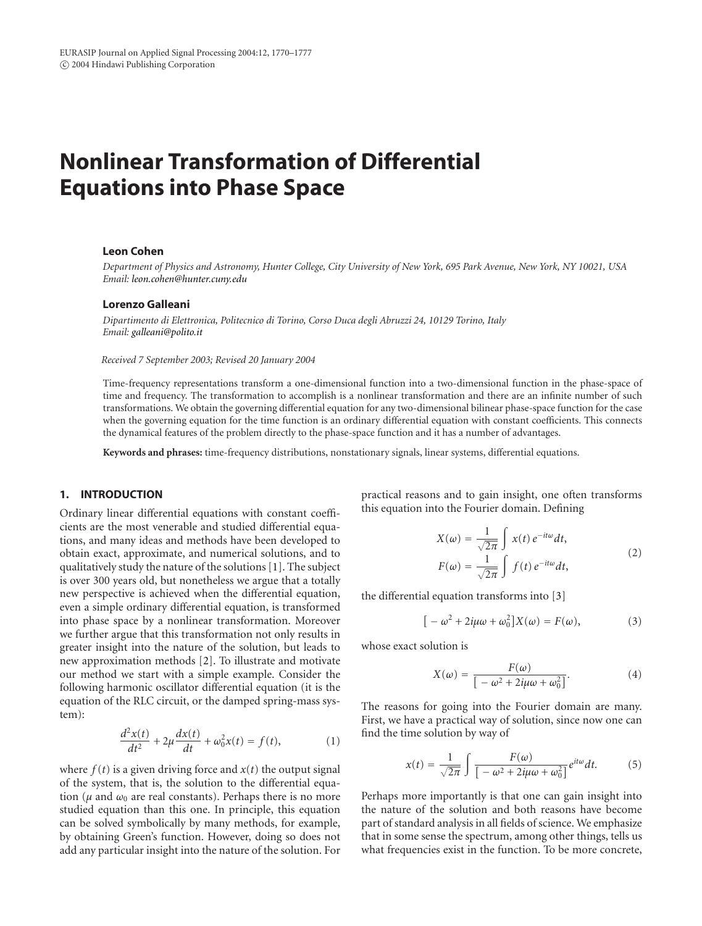# **Nonlinear Transformation of Differential Equations into Phase Space**

# **Leon Cohen**

*Department of Physics and Astronomy, Hunter College, City University of New York, 695 Park Avenue, New York, NY 10021, USA Email: [leon.cohen@hunter.cuny.edu](mailto:leon.cohen@hunter.cuny.edu)*

### **Lorenzo Galleani**

*Dipartimento di Elettronica, Politecnico di Torino, Corso Duca degli Abruzzi 24, 10129 Torino, Italy Email: [galleani@polito.it](mailto:galleani@polito.it)*

*Received 7 September 2003; Revised 20 January 2004*

Time-frequency representations transform a one-dimensional function into a two-dimensional function in the phase-space of time and frequency. The transformation to accomplish is a nonlinear transformation and there are an infinite number of such transformations. We obtain the governing differential equation for any two-dimensional bilinear phase-space function for the case when the governing equation for the time function is an ordinary differential equation with constant coefficients. This connects the dynamical features of the problem directly to the phase-space function and it has a number of advantages.

**Keywords and phrases:** time-frequency distributions, nonstationary signals, linear systems, differential equations.

# **1. INTRODUCTION**

Ordinary linear differential equations with constant coefficients are the most venerable and studied differential equations, and many ideas and methods have been developed to obtain exact, approximate, and numerical solutions, and to qualitatively study the nature of the solutions [\[1\]](#page-6-0). The subject is over 300 years old, but nonetheless we argue that a totally new perspective is achieved when the differential equation, even a simple ordinary differential equation, is transformed into phase space by a nonlinear transformation. Moreover we further argue that this transformation not only results in greater insight into the nature of the solution, but leads to new approximation methods [\[2](#page-6-1)]. To illustrate and motivate our method we start with a simple example. Consider the following harmonic oscillator differential equation (it is the equation of the RLC circuit, or the damped spring-mass system):

$$
\frac{d^2x(t)}{dt^2} + 2\mu \frac{dx(t)}{dt} + \omega_0^2 x(t) = f(t),
$$
 (1)

where  $f(t)$  is a given driving force and  $x(t)$  the output signal of the system, that is, the solution to the differential equation ( $\mu$  and  $\omega_0$  are real constants). Perhaps there is no more studied equation than this one. In principle, this equation can be solved symbolically by many methods, for example, by obtaining Green's function. However, doing so does not add any particular insight into the nature of the solution. For practical reasons and to gain insight, one often transforms this equation into the Fourier domain. Defining

$$
X(\omega) = \frac{1}{\sqrt{2\pi}} \int x(t) e^{-it\omega} dt,
$$
  
\n
$$
F(\omega) = \frac{1}{\sqrt{2\pi}} \int f(t) e^{-it\omega} dt,
$$
\n(2)

the differential equation transforms into [\[3](#page-6-2)]

$$
[-\omega^2 + 2i\mu\omega + \omega_0^2]X(\omega) = F(\omega),
$$
 (3)

whose exact solution is

$$
X(\omega) = \frac{F(\omega)}{\left[ -\omega^2 + 2i\mu\omega + \omega_0^2 \right]}.
$$
 (4)

The reasons for going into the Fourier domain are many. First, we have a practical way of solution, since now one can find the time solution by way of

$$
x(t) = \frac{1}{\sqrt{2\pi}} \int \frac{F(\omega)}{\left[ -\omega^2 + 2i\mu\omega + \omega_0^2 \right]} e^{it\omega} dt.
$$
 (5)

Perhaps more importantly is that one can gain insight into the nature of the solution and both reasons have become part of standard analysis in all fields of science. We emphasize that in some sense the spectrum, among other things, tells us what frequencies exist in the function. To be more concrete,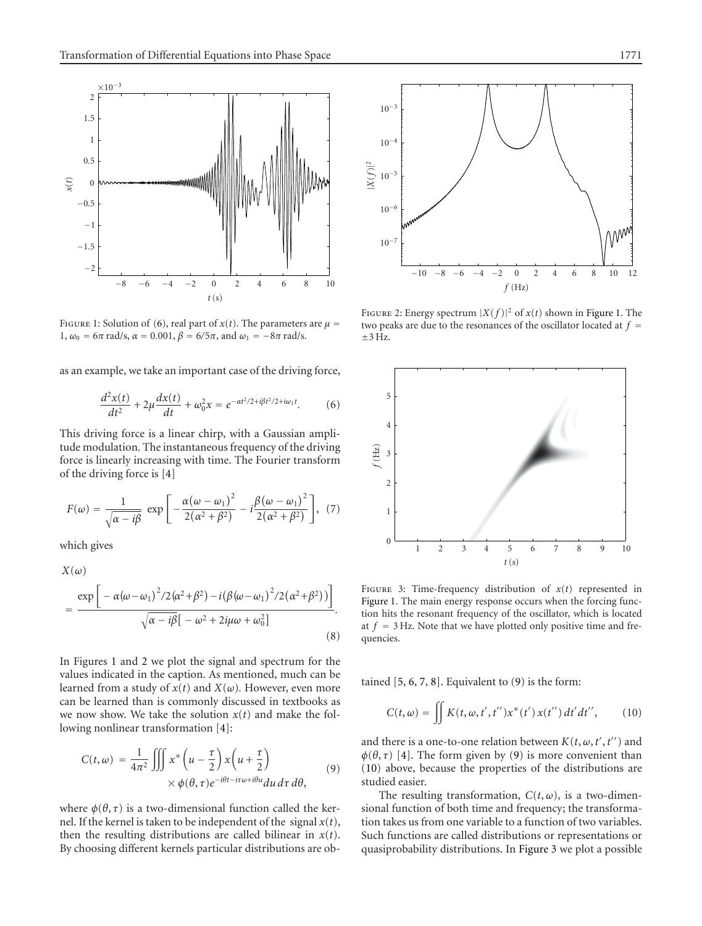

<span id="page-1-1"></span>FIGURE 1: Solution of [\(6\)](#page-1-0), real part of  $x(t)$ . The parameters are  $\mu =$ 1,  $ω_0 = 6π$  rad/s,  $α = 0.001$ ,  $β = 6/5π$ , and  $ω_1 = -8π$  rad/s.

as an example, we take an important case of the driving force,

$$
\frac{d^2x(t)}{dt^2} + 2\mu \frac{dx(t)}{dt} + \omega_0^2 x = e^{-\alpha t^2/2 + i\beta t^2/2 + i\omega_1 t}.
$$
 (6)

This driving force is a linear chirp, with a Gaussian amplitude modulation. The instantaneous frequency of the driving force is linearly increasing with time. The Fourier transform of the driving force is [\[4](#page-6-3)]

$$
F(\omega) = \frac{1}{\sqrt{\alpha - i\beta}} \exp\left[-\frac{\alpha(\omega - \omega_1)^2}{2(\alpha^2 + \beta^2)} - i\frac{\beta(\omega - \omega_1)^2}{2(\alpha^2 + \beta^2)}\right], (7)
$$

which gives

$$
X(\omega)
$$
  
= 
$$
\frac{\exp\left[-\alpha(\omega-\omega_1)^2/2(\alpha^2+\beta^2)-i(\beta(\omega-\omega_1)^2/2(\alpha^2+\beta^2))\right]}{\sqrt{\alpha-i\beta}[-\omega^2+2i\mu\omega+\omega_0^2]}
$$
 (8)

In Figures [1](#page-1-1) and [2](#page-1-2) we plot the signal and spectrum for the values indicated in the caption. As mentioned, much can be learned from a study of  $x(t)$  and  $X(\omega)$ . However, even more can be learned than is commonly discussed in textbooks as we now show. We take the solution  $x(t)$  and make the following nonlinear transformation [\[4\]](#page-6-3):

$$
C(t,\omega) = \frac{1}{4\pi^2} \iiint x^* \left( u - \frac{\tau}{2} \right) x \left( u + \frac{\tau}{2} \right) \times \phi(\theta, \tau) e^{-i\theta t - i\tau\omega + i\theta u} du \, d\tau \, d\theta,
$$
\n(9)

where  $\phi(\theta, \tau)$  is a two-dimensional function called the kernel. If the kernel is taken to be independent of the signal  $x(t)$ , then the resulting distributions are called bilinear in  $x(t)$ . By choosing different kernels particular distributions are ob-



<span id="page-1-2"></span>FIGURE 2: Energy spectrum  $|X(f)|^2$  of  $x(t)$  shown in [Figure 1.](#page-1-1) The two peaks are due to the resonances of the oscillator located at  $f =$  $+3$  Hz.

<span id="page-1-0"></span>

<span id="page-1-5"></span>FIGURE 3: Time-frequency distribution of  $x(t)$  represented in [Figure 1.](#page-1-1) The main energy response occurs when the forcing function hits the resonant frequency of the oscillator, which is located at  $f = 3$  Hz. Note that we have plotted only positive time and frequencies.

tained  $[5, 6, 7, 8]$  $[5, 6, 7, 8]$  $[5, 6, 7, 8]$  $[5, 6, 7, 8]$  $[5, 6, 7, 8]$  $[5, 6, 7, 8]$  $[5, 6, 7, 8]$  $[5, 6, 7, 8]$ . Equivalent to  $(9)$  is the form:

<span id="page-1-4"></span>
$$
C(t,\omega) = \iint K(t,\omega,t',t'')x^*(t')x(t'')dt'dt'', \qquad (10)
$$

<span id="page-1-3"></span>and there is a one-to-one relation between  $K(t, \omega, t', t'')$  and  $\phi(\theta, \tau)$  [\[4\]](#page-6-3). The form given by [\(9\)](#page-1-3) is more convenient than [\(10\)](#page-1-4) above, because the properties of the distributions are studied easier.

The resulting transformation,  $C(t, \omega)$ , is a two-dimensional function of both time and frequency; the transformation takes us from one variable to a function of two variables. Such functions are called distributions or representations or quasiprobability distributions. In [Figure 3](#page-1-5) we plot a possible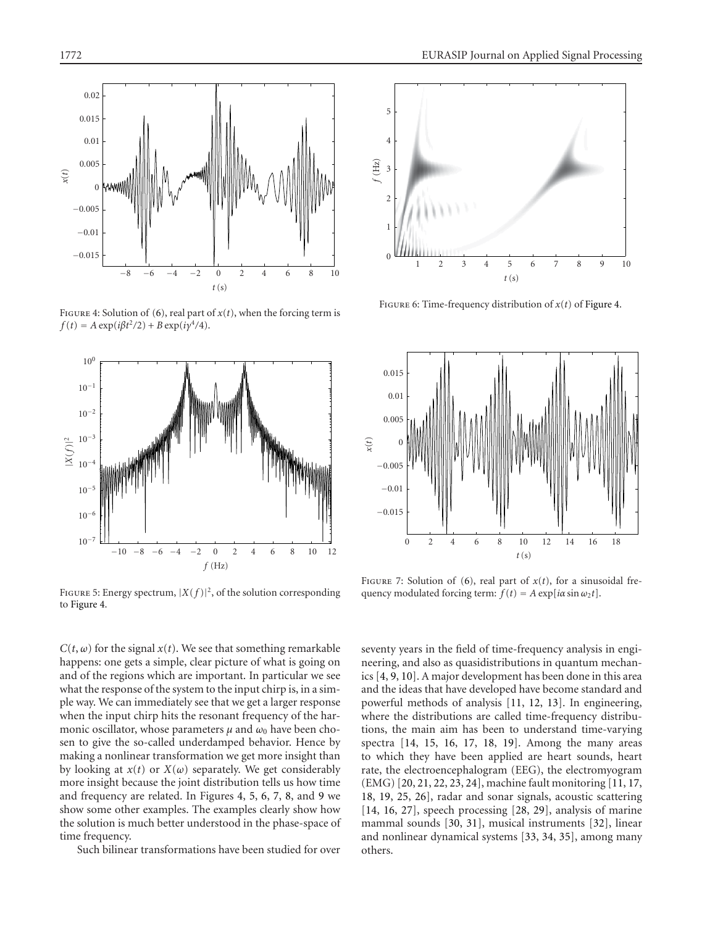

FIGURE 4: Solution of [\(6\)](#page-1-0), real part of  $x(t)$ , when the forcing term is  $f(t) = A \exp(i\beta t^2/2) + B \exp(i\gamma^4/4).$ 

<span id="page-2-0"></span>

<span id="page-2-1"></span>FIGURE 5: Energy spectrum,  $|X(f)|^2$ , of the solution corresponding to [Figure 4.](#page-2-0)

 $C(t, \omega)$  for the signal  $x(t)$ . We see that something remarkable happens: one gets a simple, clear picture of what is going on and of the regions which are important. In particular we see what the response of the system to the input chirp is, in a simple way. We can immediately see that we get a larger response when the input chirp hits the resonant frequency of the harmonic oscillator, whose parameters  $\mu$  and  $\omega_0$  have been chosen to give the so-called underdamped behavior. Hence by making a nonlinear transformation we get more insight than by looking at  $x(t)$  or  $X(\omega)$  separately. We get considerably more insight because the joint distribution tells us how time and frequency are related. In Figures [4,](#page-2-0) [5,](#page-2-1) [6,](#page-2-2) [7,](#page-2-3) [8,](#page-3-0) and [9](#page-3-1) we show some other examples. The examples clearly show how the solution is much better understood in the phase-space of time frequency.

Such bilinear transformations have been studied for over



Figure 6: Time-frequency distribution of *x*(*t*) of [Figure 4.](#page-2-0)

<span id="page-2-2"></span>

<span id="page-2-3"></span>FIGURE 7: Solution of [\(6\)](#page-1-0), real part of  $x(t)$ , for a sinusoidal frequency modulated forcing term:  $f(t) = A \exp[i\alpha \sin \omega_2 t]$ .

seventy years in the field of time-frequency analysis in engineering, and also as quasidistributions in quantum mechanics [\[4,](#page-6-3) [9,](#page-6-8) [10\]](#page-6-9). A major development has been done in this area and the ideas that have developed have become standard and powerful methods of analysis [\[11](#page-6-10), [12,](#page-6-11) [13](#page-6-12)]. In engineering, where the distributions are called time-frequency distributions, the main aim has been to understand time-varying spectra [\[14,](#page-6-13) [15](#page-6-14), [16](#page-6-15), [17,](#page-6-16) [18,](#page-6-17) [19](#page-6-18)]. Among the many areas to which they have been applied are heart sounds, heart rate, the electroencephalogram (EEG), the electromyogram (EMG) [\[20,](#page-6-19) [21,](#page-7-0) [22](#page-7-1), [23](#page-7-2), [24\]](#page-7-3), machine fault monitoring [\[11,](#page-6-10) [17,](#page-6-16) [18,](#page-6-17) [19,](#page-6-18) [25](#page-7-4), [26](#page-7-5)], radar and sonar signals, acoustic scattering [\[14](#page-6-13), [16](#page-6-15), [27\]](#page-7-6), speech processing [\[28](#page-7-7), [29\]](#page-7-8), analysis of marine mammal sounds [\[30](#page-7-9), [31](#page-7-10)], musical instruments [\[32\]](#page-7-11), linear and nonlinear dynamical systems [\[33](#page-7-12), [34](#page-7-13), [35\]](#page-7-14), among many others.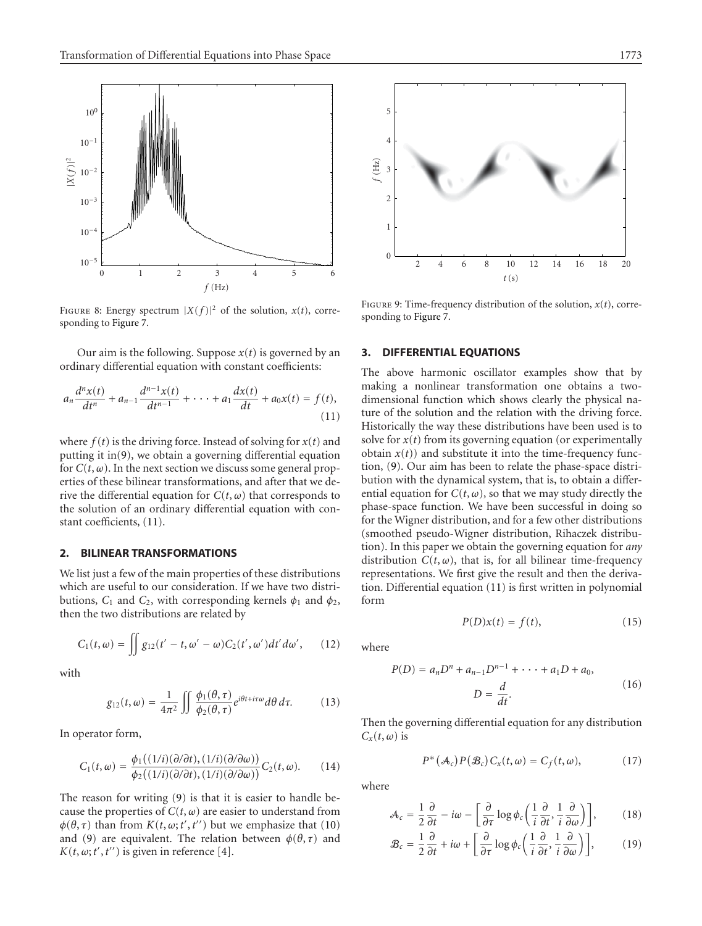

<span id="page-3-0"></span>FIGURE 8: Energy spectrum  $|X(f)|^2$  of the solution,  $x(t)$ , corresponding to [Figure 7.](#page-2-3)

Our aim is the following. Suppose *x*(*t*) is governed by an ordinary differential equation with constant coefficients:

$$
a_n \frac{d^n x(t)}{dt^n} + a_{n-1} \frac{d^{n-1} x(t)}{dt^{n-1}} + \cdots + a_1 \frac{dx(t)}{dt} + a_0 x(t) = f(t),
$$
\n(11)

where  $f(t)$  is the driving force. Instead of solving for  $x(t)$  and putting it in[\(9\)](#page-1-3), we obtain a governing differential equation for  $C(t, \omega)$ . In the next section we discuss some general properties of these bilinear transformations, and after that we derive the differential equation for  $C(t, \omega)$  that corresponds to the solution of an ordinary differential equation with constant coefficients, [\(11\)](#page-3-2).

# **2. BILINEAR TRANSFORMATIONS**

We list just a few of the main properties of these distributions which are useful to our consideration. If we have two distributions,  $C_1$  and  $C_2$ , with corresponding kernels  $\phi_1$  and  $\phi_2$ , then the two distributions are related by

$$
C_1(t,\omega) = \iint g_{12}(t'-t,\omega'-\omega)C_2(t',\omega')dt'd\omega', \qquad (12)
$$

with

$$
g_{12}(t,\omega) = \frac{1}{4\pi^2} \iint \frac{\phi_1(\theta,\tau)}{\phi_2(\theta,\tau)} e^{i\theta t + i\tau\omega} d\theta \, d\tau. \tag{13}
$$

In operator form,

$$
C_1(t,\omega) = \frac{\phi_1((1/i)(\partial/\partial t), (1/i)(\partial/\partial \omega))}{\phi_2((1/i)(\partial/\partial t), (1/i)(\partial/\partial \omega))} C_2(t,\omega).
$$
 (14)

The reason for writing [\(9\)](#page-1-3) is that it is easier to handle because the properties of  $C(t, \omega)$  are easier to understand from  $\phi(\theta, \tau)$  than from  $K(t, \omega; t', t'')$  but we emphasize that [\(10\)](#page-1-4) and [\(9\)](#page-1-3) are equivalent. The relation between  $\phi(\theta, \tau)$  and  $K(t, \omega; t', t'')$  is given in reference [\[4](#page-6-3)].



<span id="page-3-1"></span>FIGURE 9: Time-frequency distribution of the solution,  $x(t)$ , corresponding to [Figure 7.](#page-2-3)

## **3. DIFFERENTIAL EQUATIONS**

<span id="page-3-2"></span>The above harmonic oscillator examples show that by making a nonlinear transformation one obtains a twodimensional function which shows clearly the physical nature of the solution and the relation with the driving force. Historically the way these distributions have been used is to solve for  $x(t)$  from its governing equation (or experimentally obtain  $x(t)$  and substitute it into the time-frequency function, [\(9\)](#page-1-3). Our aim has been to relate the phase-space distribution with the dynamical system, that is, to obtain a differential equation for  $C(t, \omega)$ , so that we may study directly the phase-space function. We have been successful in doing so for the Wigner distribution, and for a few other distributions (smoothed pseudo-Wigner distribution, Rihaczek distribution). In this paper we obtain the governing equation for *any* distribution  $C(t, \omega)$ , that is, for all bilinear time-frequency representations. We first give the result and then the derivation. Differential equation [\(11\)](#page-3-2) is first written in polynomial form

<span id="page-3-6"></span>
$$
P(D)x(t) = f(t),\tag{15}
$$

where

$$
P(D) = a_n D^n + a_{n-1} D^{n-1} + \dots + a_1 D + a_0,
$$
  

$$
D = \frac{d}{dt}.
$$
 (16)

Then the governing differential equation for any distribution  $C_x(t, \omega)$  is

<span id="page-3-5"></span><span id="page-3-4"></span><span id="page-3-3"></span>
$$
P^*(\mathcal{A}_c)P(\mathcal{B}_c)C_x(t,\omega)=C_f(t,\omega),\qquad\qquad(17)
$$

where

$$
\mathcal{A}_c = \frac{1}{2} \frac{\partial}{\partial t} - i\omega - \left[ \frac{\partial}{\partial \tau} \log \phi_c \left( \frac{1}{i} \frac{\partial}{\partial t}, \frac{1}{i} \frac{\partial}{\partial \omega} \right) \right],\tag{18}
$$

$$
\mathcal{B}_c = \frac{1}{2} \frac{\partial}{\partial t} + i\omega + \left[ \frac{\partial}{\partial \tau} \log \phi_c \left( \frac{1}{i} \frac{\partial}{\partial t}, \frac{1}{i} \frac{\partial}{\partial \omega} \right) \right],\tag{19}
$$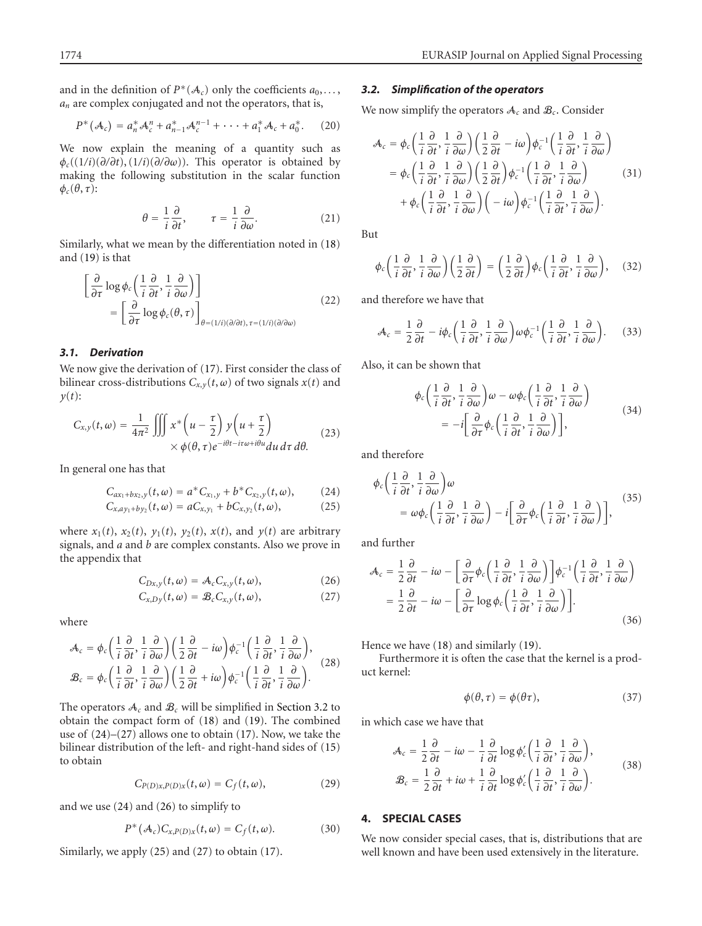and in the definition of  $P^*(A_c)$  only the coefficients  $a_0, \ldots$ , *an* are complex conjugated and not the operators, that is,

$$
P^*(\mathcal{A}_c) = a_n^* \mathcal{A}_c^n + a_{n-1}^* \mathcal{A}_c^{n-1} + \cdots + a_1^* \mathcal{A}_c + a_0^*.
$$
 (20)

We now explain the meaning of a quantity such as *φc*((1*/i*)(*∂/∂t*), (1*/i*)(*∂/∂ω*)). This operator is obtained by making the following substitution in the scalar function  $\phi_c(\theta, \tau)$ :

$$
\theta = \frac{1}{i} \frac{\partial}{\partial t}, \qquad \tau = \frac{1}{i} \frac{\partial}{\partial \omega}.
$$
 (21)

Similarly, what we mean by the differentiation noted in [\(18\)](#page-3-3) and [\(19\)](#page-3-4) is that

$$
\begin{aligned}\n&\left[\frac{\partial}{\partial \tau} \log \phi_c \left(\frac{1}{i} \frac{\partial}{\partial t}, \frac{1}{i} \frac{\partial}{\partial \omega}\right)\right] \\
&= \left[\frac{\partial}{\partial \tau} \log \phi_c(\theta, \tau)\right]_{\theta = (1/i)(\partial/\partial t), \tau = (1/i)(\partial/\partial \omega)}\n\end{aligned} \tag{22}
$$

# *3.1. Derivation*

We now give the derivation of [\(17\)](#page-3-5). First consider the class of bilinear cross-distributions  $C_{x,y}(t, \omega)$  of two signals  $x(t)$  and *y*(*t*):

$$
C_{x,y}(t,\omega) = \frac{1}{4\pi^2} \iiint x^* \left( u - \frac{\tau}{2} \right) y \left( u + \frac{\tau}{2} \right) \times \phi(\theta, \tau) e^{-i\theta t - i\tau\omega + i\theta u} du \, d\tau \, d\theta. \tag{23}
$$

In general one has that

$$
C_{ax_1+bx_2,y}(t,\omega) = a^*C_{x_1,y} + b^*C_{x_2,y}(t,\omega), \qquad (24)
$$

$$
C_{x,ay_1+by_2}(t,\omega)=aC_{x,y_1}+bC_{x,y_2}(t,\omega), \qquad (25)
$$

where  $x_1(t)$ ,  $x_2(t)$ ,  $y_1(t)$ ,  $y_2(t)$ ,  $x(t)$ , and  $y(t)$  are arbitrary signals, and *a* and *b* are complex constants. Also we prove in the appendix that

<span id="page-4-3"></span><span id="page-4-2"></span>
$$
C_{Dx,y}(t,\omega) = \mathcal{A}_c C_{x,y}(t,\omega), \qquad (26)
$$

$$
C_{x,Dy}(t,\omega) = \mathcal{B}_c C_{x,y}(t,\omega), \qquad (27)
$$

where

$$
\mathcal{A}_{c} = \phi_{c} \left( \frac{1}{i} \frac{\partial}{\partial t}, \frac{1}{i} \frac{\partial}{\partial \omega} \right) \left( \frac{1}{2} \frac{\partial}{\partial t} - i \omega \right) \phi_{c}^{-1} \left( \frac{1}{i} \frac{\partial}{\partial t}, \frac{1}{i} \frac{\partial}{\partial \omega} \right),
$$
  

$$
\mathcal{B}_{c} = \phi_{c} \left( \frac{1}{i} \frac{\partial}{\partial t}, \frac{1}{i} \frac{\partial}{\partial \omega} \right) \left( \frac{1}{2} \frac{\partial}{\partial t} + i \omega \right) \phi_{c}^{-1} \left( \frac{1}{i} \frac{\partial}{\partial t}, \frac{1}{i} \frac{\partial}{\partial \omega} \right).
$$
 (28)

The operators  $A_c$  and  $B_c$  will be simplified in [Section 3.2](#page-4-0) to obtain the compact form of [\(18\)](#page-3-3) and [\(19\)](#page-3-4). The combined use of [\(24\)](#page-4-1)–[\(27\)](#page-4-2) allows one to obtain [\(17\)](#page-3-5). Now, we take the bilinear distribution of the left- and right-hand sides of [\(15\)](#page-3-6) to obtain

$$
C_{P(D)x,P(D)x}(t,\omega) = C_f(t,\omega),
$$
\n(29)

and we use [\(24\)](#page-4-1) and [\(26\)](#page-4-3) to simplify to

$$
P^*(\mathcal{A}_c)C_{x,P(D)x}(t,\omega)=C_f(t,\omega).
$$
 (30)

Similarly, we apply [\(25\)](#page-4-4) and [\(27\)](#page-4-2) to obtain [\(17\)](#page-3-5).

# <span id="page-4-0"></span>*3.2. Simplification of the operators*

We now simplify the operators  $A_c$  and  $B_c$ . Consider

$$
\mathcal{A}_{c} = \phi_{c} \left( \frac{1}{i} \frac{\partial}{\partial t}, \frac{1}{i} \frac{\partial}{\partial \omega} \right) \left( \frac{1}{2} \frac{\partial}{\partial t} - i\omega \right) \phi_{c}^{-1} \left( \frac{1}{i} \frac{\partial}{\partial t}, \frac{1}{i} \frac{\partial}{\partial \omega} \right) \n= \phi_{c} \left( \frac{1}{i} \frac{\partial}{\partial t}, \frac{1}{i} \frac{\partial}{\partial \omega} \right) \left( \frac{1}{2} \frac{\partial}{\partial t} \right) \phi_{c}^{-1} \left( \frac{1}{i} \frac{\partial}{\partial t}, \frac{1}{i} \frac{\partial}{\partial \omega} \right) \n+ \phi_{c} \left( \frac{1}{i} \frac{\partial}{\partial t}, \frac{1}{i} \frac{\partial}{\partial \omega} \right) \left( -i\omega \right) \phi_{c}^{-1} \left( \frac{1}{i} \frac{\partial}{\partial t}, \frac{1}{i} \frac{\partial}{\partial \omega} \right).
$$
\n(31)

But

$$
\phi_c\left(\frac{1}{i}\frac{\partial}{\partial t}, \frac{1}{i}\frac{\partial}{\partial \omega}\right)\left(\frac{1}{2}\frac{\partial}{\partial t}\right) = \left(\frac{1}{2}\frac{\partial}{\partial t}\right)\phi_c\left(\frac{1}{i}\frac{\partial}{\partial t}, \frac{1}{i}\frac{\partial}{\partial \omega}\right), \quad (32)
$$

and therefore we have that

$$
\mathcal{A}_{c} = \frac{1}{2} \frac{\partial}{\partial t} - i \phi_{c} \left( \frac{1}{i} \frac{\partial}{\partial t}, \frac{1}{i} \frac{\partial}{\partial \omega} \right) \omega \phi_{c}^{-1} \left( \frac{1}{i} \frac{\partial}{\partial t}, \frac{1}{i} \frac{\partial}{\partial \omega} \right). \tag{33}
$$

Also, it can be shown that

$$
\phi_c \left( \frac{1}{i} \frac{\partial}{\partial t}, \frac{1}{i} \frac{\partial}{\partial \omega} \right) \omega - \omega \phi_c \left( \frac{1}{i} \frac{\partial}{\partial t}, \frac{1}{i} \frac{\partial}{\partial \omega} \right) \n= -i \left[ \frac{\partial}{\partial \tau} \phi_c \left( \frac{1}{i} \frac{\partial}{\partial t}, \frac{1}{i} \frac{\partial}{\partial \omega} \right) \right],
$$
\n(34)

<span id="page-4-4"></span><span id="page-4-1"></span>and therefore

$$
\phi_c \left( \frac{1}{i} \frac{\partial}{\partial t}, \frac{1}{i} \frac{\partial}{\partial \omega} \right) \omega \n= \omega \phi_c \left( \frac{1}{i} \frac{\partial}{\partial t}, \frac{1}{i} \frac{\partial}{\partial \omega} \right) - i \left[ \frac{\partial}{\partial \tau} \phi_c \left( \frac{1}{i} \frac{\partial}{\partial t}, \frac{1}{i} \frac{\partial}{\partial \omega} \right) \right],
$$
\n(35)

and further

$$
\mathcal{A}_{c} = \frac{1}{2} \frac{\partial}{\partial t} - i\omega - \left[ \frac{\partial}{\partial \tau} \phi_{c} \left( \frac{1}{i} \frac{\partial}{\partial t}, \frac{1}{i} \frac{\partial}{\partial \omega} \right) \right] \phi_{c}^{-1} \left( \frac{1}{i} \frac{\partial}{\partial t}, \frac{1}{i} \frac{\partial}{\partial \omega} \right)
$$
  

$$
= \frac{1}{2} \frac{\partial}{\partial t} - i\omega - \left[ \frac{\partial}{\partial \tau} \log \phi_{c} \left( \frac{1}{i} \frac{\partial}{\partial t}, \frac{1}{i} \frac{\partial}{\partial \omega} \right) \right].
$$
 (36)

Hence we have [\(18\)](#page-3-3) and similarly [\(19\)](#page-3-4).

Furthermore it is often the case that the kernel is a product kernel:

$$
\phi(\theta, \tau) = \phi(\theta \tau), \tag{37}
$$

in which case we have that

$$
\mathcal{A}_{c} = \frac{1}{2} \frac{\partial}{\partial t} - i\omega - \frac{1}{i} \frac{\partial}{\partial t} \log \phi_{c}' \left( \frac{1}{i} \frac{\partial}{\partial t}, \frac{1}{i} \frac{\partial}{\partial \omega} \right),
$$
  

$$
\mathcal{B}_{c} = \frac{1}{2} \frac{\partial}{\partial t} + i\omega + \frac{1}{i} \frac{\partial}{\partial t} \log \phi_{c}' \left( \frac{1}{i} \frac{\partial}{\partial t}, \frac{1}{i} \frac{\partial}{\partial \omega} \right).
$$
(38)

# **4. SPECIAL CASES**

We now consider special cases, that is, distributions that are well known and have been used extensively in the literature.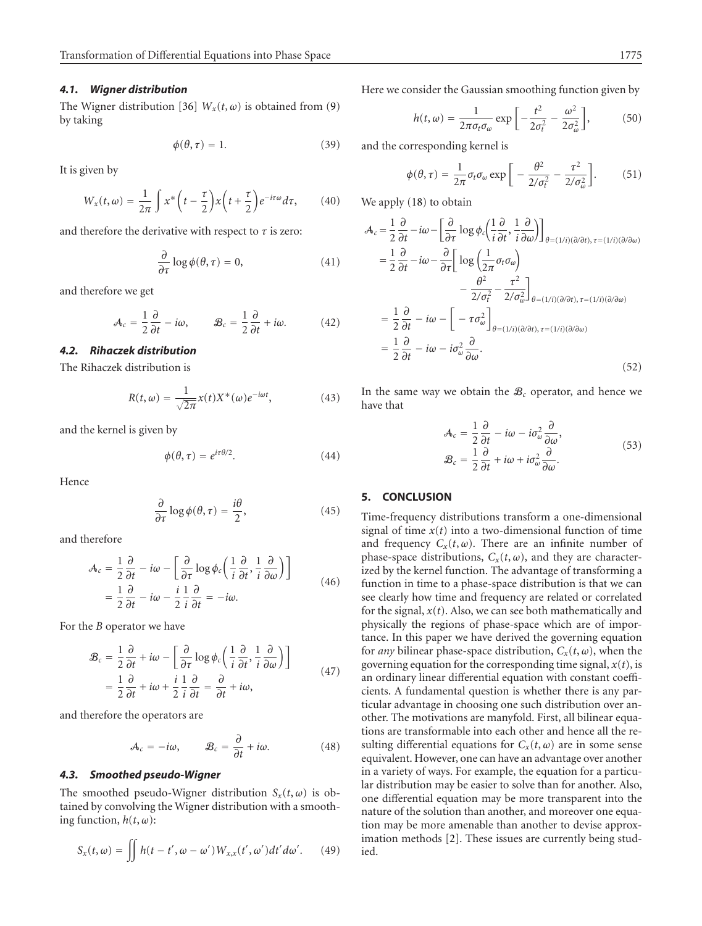#### *4.1. Wigner distribution*

The Wigner distribution [\[36\]](#page-7-15)  $W_x(t, \omega)$  is obtained from [\(9\)](#page-1-3) by taking

<span id="page-5-0"></span>
$$
\phi(\theta, \tau) = 1. \tag{39}
$$

It is given by

$$
W_x(t,\omega) = \frac{1}{2\pi} \int x^* \left( t - \frac{\tau}{2} \right) x \left( t + \frac{\tau}{2} \right) e^{-i\tau\omega} d\tau, \qquad (40)
$$

and therefore the derivative with respect to *τ* is zero:

$$
\frac{\partial}{\partial \tau} \log \phi(\theta, \tau) = 0, \tag{41}
$$

and therefore we get

$$
\mathcal{A}_c = \frac{1}{2} \frac{\partial}{\partial t} - i\omega, \qquad \mathcal{B}_c = \frac{1}{2} \frac{\partial}{\partial t} + i\omega. \tag{42}
$$

# *4.2. Rihaczek distribution*

The Rihaczek distribution is

$$
R(t,\omega) = \frac{1}{\sqrt{2\pi}}x(t)X^*(\omega)e^{-i\omega t},
$$
\n(43)

and the kernel is given by

$$
\phi(\theta, \tau) = e^{i\tau\theta/2}.\tag{44}
$$

Hence

$$
\frac{\partial}{\partial \tau} \log \phi(\theta, \tau) = \frac{i\theta}{2},\tag{45}
$$

and therefore

$$
\mathcal{A}_{c} = \frac{1}{2} \frac{\partial}{\partial t} - i\omega - \left[ \frac{\partial}{\partial \tau} \log \phi_{c} \left( \frac{1}{i} \frac{\partial}{\partial t}, \frac{1}{i} \frac{\partial}{\partial \omega} \right) \right]
$$
  
=  $\frac{1}{2} \frac{\partial}{\partial t} - i\omega - \frac{i}{2} \frac{\partial}{\partial t} = -i\omega.$  (46)

For the *B* operator we have

$$
\mathcal{B}_{c} = \frac{1}{2} \frac{\partial}{\partial t} + i\omega - \left[ \frac{\partial}{\partial \tau} \log \phi_{c} \left( \frac{1}{i} \frac{\partial}{\partial t}, \frac{1}{i} \frac{\partial}{\partial \omega} \right) \right]
$$
  
=  $\frac{1}{2} \frac{\partial}{\partial t} + i\omega + \frac{i}{2} \frac{1}{i} \frac{\partial}{\partial t} = \frac{\partial}{\partial t} + i\omega,$  (47)

and therefore the operators are

$$
\mathcal{A}_c = -i\omega, \qquad \mathcal{B}_c = \frac{\partial}{\partial t} + i\omega. \tag{48}
$$

#### *4.3. Smoothed pseudo-Wigner*

The smoothed pseudo-Wigner distribution  $S_x(t, \omega)$  is obtained by convolving the Wigner distribution with a smoothing function,  $h(t, \omega)$ :

$$
S_x(t,\omega) = \iint h(t-t',\omega-\omega')W_{x,x}(t',\omega')dt'd\omega'.\qquad(49)
$$

Here we consider the Gaussian smoothing function given by

$$
h(t,\omega) = \frac{1}{2\pi\sigma_t\sigma_\omega} \exp\left[-\frac{t^2}{2\sigma_t^2} - \frac{\omega^2}{2\sigma_\omega^2}\right],\tag{50}
$$

and the corresponding kernel is

$$
\phi(\theta,\tau) = \frac{1}{2\pi} \sigma_t \sigma_\omega \exp\bigg[-\frac{\theta^2}{2/\sigma_t^2} - \frac{\tau^2}{2/\sigma_\omega^2}\bigg].
$$
 (51)

We apply [\(18\)](#page-3-3) to obtain

$$
\mathcal{A}_{c} = \frac{1}{2} \frac{\partial}{\partial t} - i\omega - \left[ \frac{\partial}{\partial \tau} \log \phi_{c} \left( \frac{1}{i} \frac{\partial}{\partial t}, \frac{1}{i} \frac{\partial}{\partial \omega} \right) \right]_{\theta = (1/i)(\partial/\partial t), \tau = (1/i)(\partial/\partial \omega)}
$$
  
\n
$$
= \frac{1}{2} \frac{\partial}{\partial t} - i\omega - \frac{\partial}{\partial \tau} \left[ \log \left( \frac{1}{2\pi} \sigma_{t} \sigma_{\omega} \right) - \frac{\theta^{2}}{2/\sigma_{c}^{2}} - \frac{\tau^{2}}{2/\sigma_{\omega}^{2}} \right]_{\theta = (1/i)(\partial/\partial t), \tau = (1/i)(\partial/\partial \omega)}
$$
  
\n
$$
= \frac{1}{2} \frac{\partial}{\partial t} - i\omega - \left[ -\tau \sigma_{\omega}^{2} \right]_{\theta = (1/i)(\partial/\partial t), \tau = (1/i)(\partial/\partial \omega)}
$$
  
\n
$$
= \frac{1}{2} \frac{\partial}{\partial t} - i\omega - i\sigma_{\omega}^{2} \frac{\partial}{\partial \omega}.
$$
  
\n(52)

In the same way we obtain the  $B_c$  operator, and hence we have that

$$
\mathcal{A}_{c} = \frac{1}{2} \frac{\partial}{\partial t} - i\omega - i\sigma_{\omega}^{2} \frac{\partial}{\partial \omega},
$$
  

$$
\mathcal{B}_{c} = \frac{1}{2} \frac{\partial}{\partial t} + i\omega + i\sigma_{\omega}^{2} \frac{\partial}{\partial \omega}.
$$
 (53)

# **5. CONCLUSION**

Time-frequency distributions transform a one-dimensional signal of time  $x(t)$  into a two-dimensional function of time and frequency  $C_x(t, \omega)$ . There are an infinite number of phase-space distributions,  $C_x(t, \omega)$ , and they are characterized by the kernel function. The advantage of transforming a function in time to a phase-space distribution is that we can see clearly how time and frequency are related or correlated for the signal,  $x(t)$ . Also, we can see both mathematically and physically the regions of phase-space which are of importance. In this paper we have derived the governing equation for *any* bilinear phase-space distribution,  $C_x(t, \omega)$ , when the governing equation for the corresponding time signal,  $x(t)$ , is an ordinary linear differential equation with constant coefficients. A fundamental question is whether there is any particular advantage in choosing one such distribution over another. The motivations are manyfold. First, all bilinear equations are transformable into each other and hence all the resulting differential equations for  $C_x(t, \omega)$  are in some sense equivalent. However, one can have an advantage over another in a variety of ways. For example, the equation for a particular distribution may be easier to solve than for another. Also, one differential equation may be more transparent into the nature of the solution than another, and moreover one equation may be more amenable than another to devise approximation methods [\[2](#page-6-1)]. These issues are currently being studied.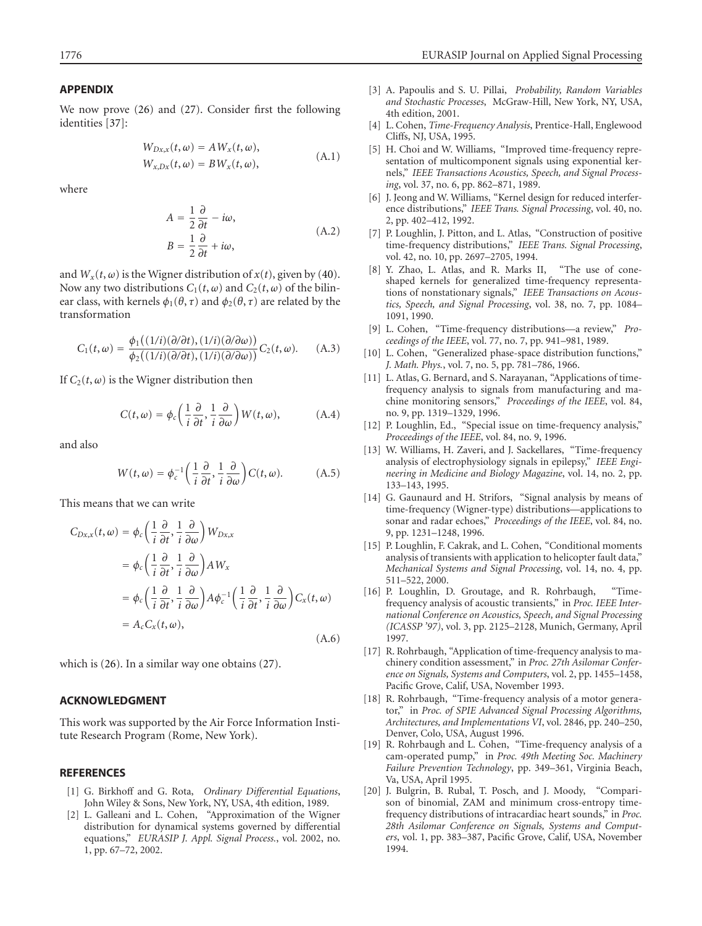### **APPENDIX**

We now prove [\(26\)](#page-4-3) and [\(27\)](#page-4-2). Consider first the following identities [\[37](#page-7-16)]:

$$
W_{Dx,x}(t, \omega) = AW_x(t, \omega),
$$
  
\n
$$
W_{x,Dx}(t, \omega) = BW_x(t, \omega),
$$
\n(A.1)

where

$$
A = \frac{1}{2} \frac{\partial}{\partial t} - i\omega,
$$
  
\n
$$
B = \frac{1}{2} \frac{\partial}{\partial t} + i\omega,
$$
\n(A.2)

and  $W_x(t, \omega)$  is the Wigner distribution of  $x(t)$ , given by [\(40\)](#page-5-0). Now any two distributions  $C_1(t, \omega)$  and  $C_2(t, \omega)$  of the bilinear class, with kernels  $\phi_1(\theta, \tau)$  and  $\phi_2(\theta, \tau)$  are related by the transformation

$$
C_1(t,\omega) = \frac{\phi_1((1/i)(\partial/\partial t), (1/i)(\partial/\partial \omega))}{\phi_2((1/i)(\partial/\partial t), (1/i)(\partial/\partial \omega))} C_2(t,\omega).
$$
 (A.3)

If  $C_2(t, \omega)$  is the Wigner distribution then

$$
C(t,\omega) = \phi_c \left( \frac{1}{i} \frac{\partial}{\partial t}, \frac{1}{i} \frac{\partial}{\partial \omega} \right) W(t,\omega), \tag{A.4}
$$

and also

$$
W(t,\omega) = \phi_c^{-1}\left(\frac{1}{i}\frac{\partial}{\partial t}, \frac{1}{i}\frac{\partial}{\partial \omega}\right)C(t,\omega).
$$
 (A.5)

This means that we can write

$$
C_{Dx,x}(t,\omega) = \phi_c \left(\frac{1}{i}\frac{\partial}{\partial t}, \frac{1}{i}\frac{\partial}{\partial \omega}\right) W_{Dx,x}
$$
  
\n
$$
= \phi_c \left(\frac{1}{i}\frac{\partial}{\partial t}, \frac{1}{i}\frac{\partial}{\partial \omega}\right) A W_x
$$
  
\n
$$
= \phi_c \left(\frac{1}{i}\frac{\partial}{\partial t}, \frac{1}{i}\frac{\partial}{\partial \omega}\right) A \phi_c^{-1} \left(\frac{1}{i}\frac{\partial}{\partial t}, \frac{1}{i}\frac{\partial}{\partial \omega}\right) C_x(t,\omega)
$$
  
\n
$$
= A_c C_x(t,\omega), \qquad (A.6)
$$

which is [\(26\)](#page-4-3). In a similar way one obtains [\(27\)](#page-4-2).

## **ACKNOWLEDGMENT**

This work was supported by the Air Force Information Institute Research Program (Rome, New York).

## <span id="page-6-0"></span>**REFERENCES**

- [1] G. Birkhoff and G. Rota, *Ordinary Differential Equations*, John Wiley & Sons, New York, NY, USA, 4th edition, 1989.
- <span id="page-6-1"></span>[2] L. Galleani and L. Cohen, "Approximation of the Wigner distribution for dynamical systems governed by differential equations," *EURASIP J. Appl. Signal Process.*, vol. 2002, no. 1, pp. 67–72, 2002.
- <span id="page-6-2"></span>[3] A. Papoulis and S. U. Pillai, *Probability, Random Variables and Stochastic Processes*, McGraw-Hill, New York, NY, USA, 4th edition, 2001.
- <span id="page-6-3"></span>[4] L. Cohen, *Time-Frequency Analysis*, Prentice-Hall, Englewood Cliffs, NJ, USA, 1995.
- <span id="page-6-4"></span>[5] H. Choi and W. Williams, "Improved time-frequency representation of multicomponent signals using exponential kernels," *IEEE Transactions Acoustics, Speech, and Signal Processing*, vol. 37, no. 6, pp. 862–871, 1989.
- <span id="page-6-5"></span>[6] J. Jeong and W. Williams, "Kernel design for reduced interference distributions," *IEEE Trans. Signal Processing*, vol. 40, no. 2, pp. 402–412, 1992.
- <span id="page-6-6"></span>[7] P. Loughlin, J. Pitton, and L. Atlas, "Construction of positive time-frequency distributions," *IEEE Trans. Signal Processing*, vol. 42, no. 10, pp. 2697–2705, 1994.
- <span id="page-6-7"></span>[8] Y. Zhao, L. Atlas, and R. Marks II, "The use of coneshaped kernels for generalized time-frequency representations of nonstationary signals," *IEEE Transactions on Acoustics, Speech, and Signal Processing*, vol. 38, no. 7, pp. 1084– 1091, 1990.
- [9] L. Cohen, "Time-frequency distributions—a review," *Proceedings of the IEEE*, vol. 77, no. 7, pp. 941–981, 1989.
- <span id="page-6-9"></span><span id="page-6-8"></span>[10] L. Cohen, "Generalized phase-space distribution functions," *J. Math. Phys.*, vol. 7, no. 5, pp. 781–786, 1966.
- <span id="page-6-10"></span>[11] L. Atlas, G. Bernard, and S. Narayanan, "Applications of timefrequency analysis to signals from manufacturing and machine monitoring sensors," *Proceedings of the IEEE*, vol. 84, no. 9, pp. 1319–1329, 1996.
- <span id="page-6-11"></span>[12] P. Loughlin, Ed., "Special issue on time-frequency analysis," *Proceedings of the IEEE*, vol. 84, no. 9, 1996.
- <span id="page-6-12"></span>[13] W. Williams, H. Zaveri, and J. Sackellares, "Time-frequency analysis of electrophysiology signals in epilepsy," *IEEE Engineering in Medicine and Biology Magazine*, vol. 14, no. 2, pp. 133–143, 1995.
- <span id="page-6-13"></span>[14] G. Gaunaurd and H. Strifors, "Signal analysis by means of time-frequency (Wigner-type) distributions—applications to sonar and radar echoes," *Proceedings of the IEEE*, vol. 84, no. 9, pp. 1231–1248, 1996.
- <span id="page-6-14"></span>[15] P. Loughlin, F. Cakrak, and L. Cohen, "Conditional moments analysis of transients with application to helicopter fault data," *Mechanical Systems and Signal Processing*, vol. 14, no. 4, pp. 511–522, 2000.
- <span id="page-6-15"></span>[16] P. Loughlin, D. Groutage, and R. Rohrbaugh, "Timefrequency analysis of acoustic transients," in *Proc. IEEE International Conference on Acoustics, Speech, and Signal Processing (ICASSP '97)*, vol. 3, pp. 2125–2128, Munich, Germany, April 1997.
- <span id="page-6-16"></span>[17] R. Rohrbaugh, "Application of time-frequency analysis to machinery condition assessment," in *Proc. 27th Asilomar Conference on Signals, Systems and Computers*, vol. 2, pp. 1455–1458, Pacific Grove, Calif, USA, November 1993.
- <span id="page-6-17"></span>[18] R. Rohrbaugh, "Time-frequency analysis of a motor generator," in *Proc. of SPIE Advanced Signal Processing Algorithms, Architectures, and Implementations VI*, vol. 2846, pp. 240–250, Denver, Colo, USA, August 1996.
- <span id="page-6-18"></span>[19] R. Rohrbaugh and L. Čohen, "Time-frequency analysis of a cam-operated pump," in *Proc. 49th Meeting Soc. Machinery Failure Prevention Technology*, pp. 349–361, Virginia Beach, Va, USA, April 1995.
- <span id="page-6-19"></span>[20] J. Bulgrin, B. Rubal, T. Posch, and J. Moody, "Comparison of binomial, ZAM and minimum cross-entropy timefrequency distributions of intracardiac heart sounds," in *Proc. 28th Asilomar Conference on Signals, Systems and Computers*, vol. 1, pp. 383–387, Pacific Grove, Calif, USA, November 1994.